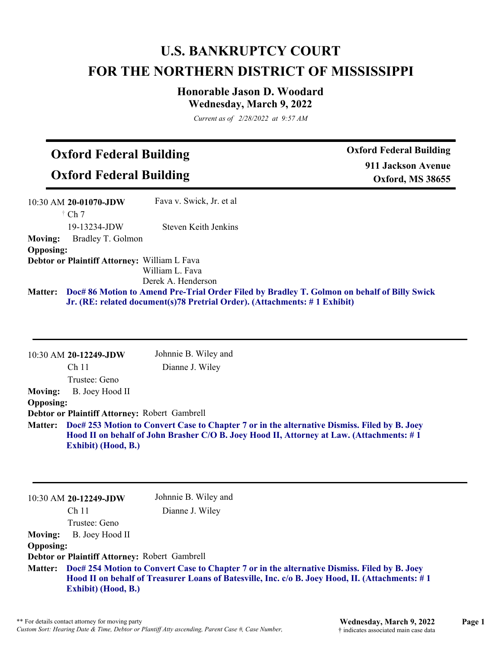## **U.S. BANKRUPTCY COURT FOR THE NORTHERN DISTRICT OF MISSISSIPPI**

## **Honorable Jason D. Woodard Wednesday, March 9, 2022**

*Current as of 2/28/2022 at 9:57 AM*

## **Oxford Federal Building**

**Oxford Federal Building**

**Oxford Federal Building 911 Jackson Avenue Oxford, MS 38655**

|                  | 10:30 AM 20-01070-JDW                        | Fava v. Swick, Jr. et al. |                                                                                                     |
|------------------|----------------------------------------------|---------------------------|-----------------------------------------------------------------------------------------------------|
|                  | $\dagger$ Ch 7                               |                           |                                                                                                     |
|                  | 19-13234-JDW                                 | Steven Keith Jenkins      |                                                                                                     |
| <b>Moving:</b>   | Bradley T. Golmon                            |                           |                                                                                                     |
| <b>Opposing:</b> |                                              |                           |                                                                                                     |
|                  | Debtor or Plaintiff Attorney: William L Fava |                           |                                                                                                     |
|                  |                                              | William L. Fava           |                                                                                                     |
|                  |                                              | Derek A. Henderson        |                                                                                                     |
|                  |                                              |                           | Matter: Doc# 86 Motion to Amend Pre-Trial Order Filed by Bradley T. Golmon on behalf of Billy Swick |
|                  |                                              |                           | Jr. (RE: related document(s)78 Pretrial Order). (Attachments: #1 Exhibit)                           |

10:30 AM **20-12249-JDW**  Ch 11 Trustee: Geno Johnnie B. Wiley and Dianne J. Wiley **Moving:** B. Joey Hood II **Opposing: Debtor or Plaintiff Attorney:** Robert Gambrell **Doc# 253 Motion to Convert Case to Chapter 7 or in the alternative Dismiss. Filed by B. Joey Matter: Hood II on behalf of John Brasher C/O B. Joey Hood II, Attorney at Law. (Attachments: # 1 Exhibit) (Hood, B.)**

|                  | $10:30$ AM 20-12249-JDW                                                                                                                                                                                                                | Johnnie B. Wiley and |
|------------------|----------------------------------------------------------------------------------------------------------------------------------------------------------------------------------------------------------------------------------------|----------------------|
|                  | Ch <sub>11</sub>                                                                                                                                                                                                                       | Dianne J. Wiley      |
|                  | Trustee: Geno                                                                                                                                                                                                                          |                      |
| <b>Moving:</b>   | B. Joey Hood II                                                                                                                                                                                                                        |                      |
| <b>Opposing:</b> |                                                                                                                                                                                                                                        |                      |
|                  | Debtor or Plaintiff Attorney: Robert Gambrell                                                                                                                                                                                          |                      |
|                  | Matter: Doc# 254 Motion to Convert Case to Chapter 7 or in the alternative Dismiss. Filed by B. Joey<br>Hood II on behalf of Treasurer Loans of Batesville, Inc. c/o B. Joey Hood, II. (Attachments: #1)<br><b>Exhibit)</b> (Hood, B.) |                      |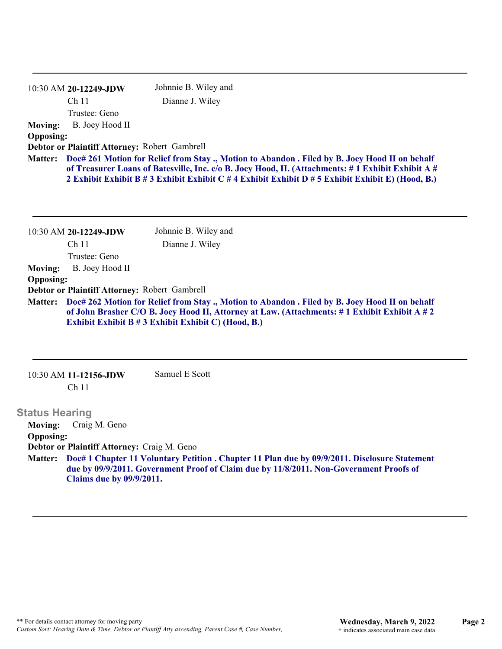|                                                                                                                                                                                                                                                                                                                | Johnnie B. Wiley and                        |  |
|----------------------------------------------------------------------------------------------------------------------------------------------------------------------------------------------------------------------------------------------------------------------------------------------------------------|---------------------------------------------|--|
| Ch <sub>11</sub>                                                                                                                                                                                                                                                                                               | Dianne J. Wiley                             |  |
| Trustee: Geno                                                                                                                                                                                                                                                                                                  |                                             |  |
| B. Joey Hood II                                                                                                                                                                                                                                                                                                |                                             |  |
|                                                                                                                                                                                                                                                                                                                |                                             |  |
| Debtor or Plaintiff Attorney: Robert Gambrell                                                                                                                                                                                                                                                                  |                                             |  |
| Matter: Doc# 261 Motion for Relief from Stay., Motion to Abandon. Filed by B. Joey Hood II on behalf<br>of Treasurer Loans of Batesville, Inc. c/o B. Joey Hood, II. (Attachments: #1 Exhibit Exhibit A #<br>2 Exhibit Exhibit B # 3 Exhibit Exhibit C # 4 Exhibit Exhibit D # 5 Exhibit Exhibit E) (Hood, B.) |                                             |  |
|                                                                                                                                                                                                                                                                                                                | $10:30$ AM 20-12249-JDW<br><b>Opposing:</b> |  |

|                  | 10:30 AM 20-12249-JDW                                                                                                                                                                                                                                      | Johnnie B. Wiley and |  |
|------------------|------------------------------------------------------------------------------------------------------------------------------------------------------------------------------------------------------------------------------------------------------------|----------------------|--|
|                  | Ch 11                                                                                                                                                                                                                                                      | Dianne J. Wiley      |  |
|                  | Trustee: Geno                                                                                                                                                                                                                                              |                      |  |
| <b>Moving:</b>   | B. Joey Hood II                                                                                                                                                                                                                                            |                      |  |
| <b>Opposing:</b> |                                                                                                                                                                                                                                                            |                      |  |
|                  | Debtor or Plaintiff Attorney: Robert Gambrell                                                                                                                                                                                                              |                      |  |
|                  | Matter: Doc# 262 Motion for Relief from Stay., Motion to Abandon. Filed by B. Joey Hood II on behalf<br>of John Brasher C/O B. Joey Hood II, Attorney at Law. (Attachments: #1 Exhibit Exhibit A #2<br>Exhibit Exhibit B # 3 Exhibit Exhibit C) (Hood, B.) |                      |  |

| 10:30 AM 11-12156-JDW | Samuel E Scott |
|-----------------------|----------------|
| Ch 11                 |                |

## **Status Hearing**

**Moving:** Craig M. Geno **Opposing: Debtor or Plaintiff Attorney:** Craig M. Geno **Doc# 1 Chapter 11 Voluntary Petition . Chapter 11 Plan due by 09/9/2011. Disclosure Statement Matter: due by 09/9/2011. Government Proof of Claim due by 11/8/2011. Non-Government Proofs of Claims due by 09/9/2011.**